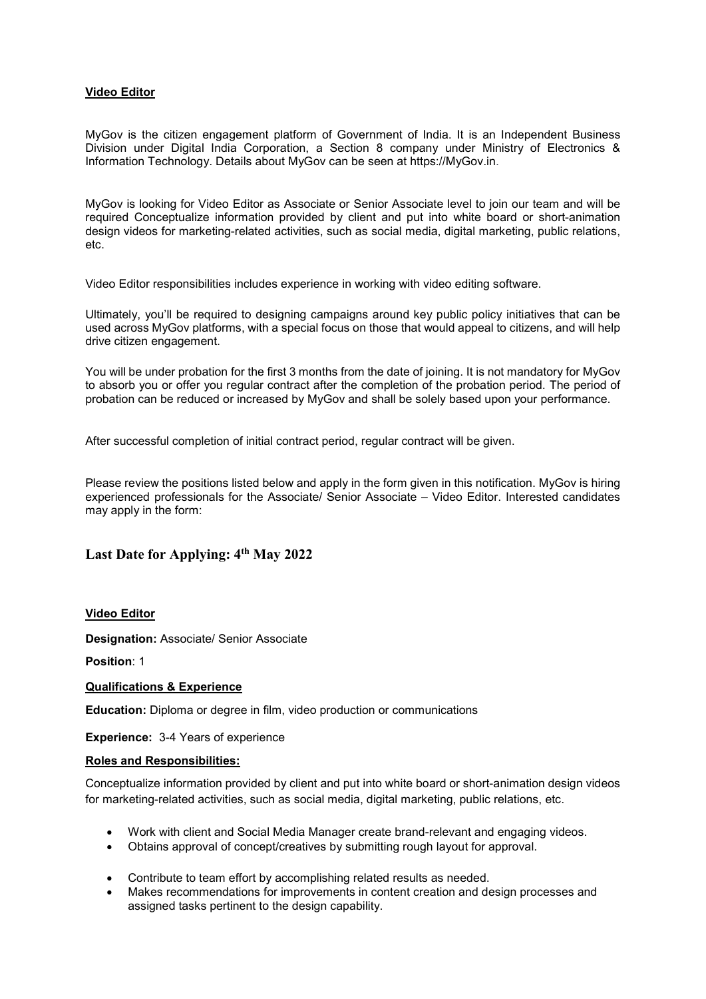## Video Editor

MyGov is the citizen engagement platform of Government of India. It is an Independent Business Division under Digital India Corporation, a Section 8 company under Ministry of Electronics & Information Technology. Details about MyGov can be seen at https://MyGov.in.

MyGov is looking for Video Editor as Associate or Senior Associate level to join our team and will be required Conceptualize information provided by client and put into white board or short-animation design videos for marketing-related activities, such as social media, digital marketing, public relations, etc.

Video Editor responsibilities includes experience in working with video editing software.

Ultimately, you'll be required to designing campaigns around key public policy initiatives that can be used across MyGov platforms, with a special focus on those that would appeal to citizens, and will help drive citizen engagement.

You will be under probation for the first 3 months from the date of joining. It is not mandatory for MyGov to absorb you or offer you regular contract after the completion of the probation period. The period of probation can be reduced or increased by MyGov and shall be solely based upon your performance.

After successful completion of initial contract period, regular contract will be given.

Please review the positions listed below and apply in the form given in this notification. MyGov is hiring experienced professionals for the Associate/ Senior Associate – Video Editor. Interested candidates may apply in the form:

# Last Date for Applying: 4th May 2022

## Video Editor

Designation: Associate/ Senior Associate

Position: 1

## Qualifications & Experience

Education: Diploma or degree in film, video production or communications

Experience: 3-4 Years of experience

#### Roles and Responsibilities:

Conceptualize information provided by client and put into white board or short-animation design videos for marketing-related activities, such as social media, digital marketing, public relations, etc.

- Work with client and Social Media Manager create brand-relevant and engaging videos.
- Obtains approval of concept/creatives by submitting rough layout for approval.
- Contribute to team effort by accomplishing related results as needed.
- Makes recommendations for improvements in content creation and design processes and assigned tasks pertinent to the design capability.